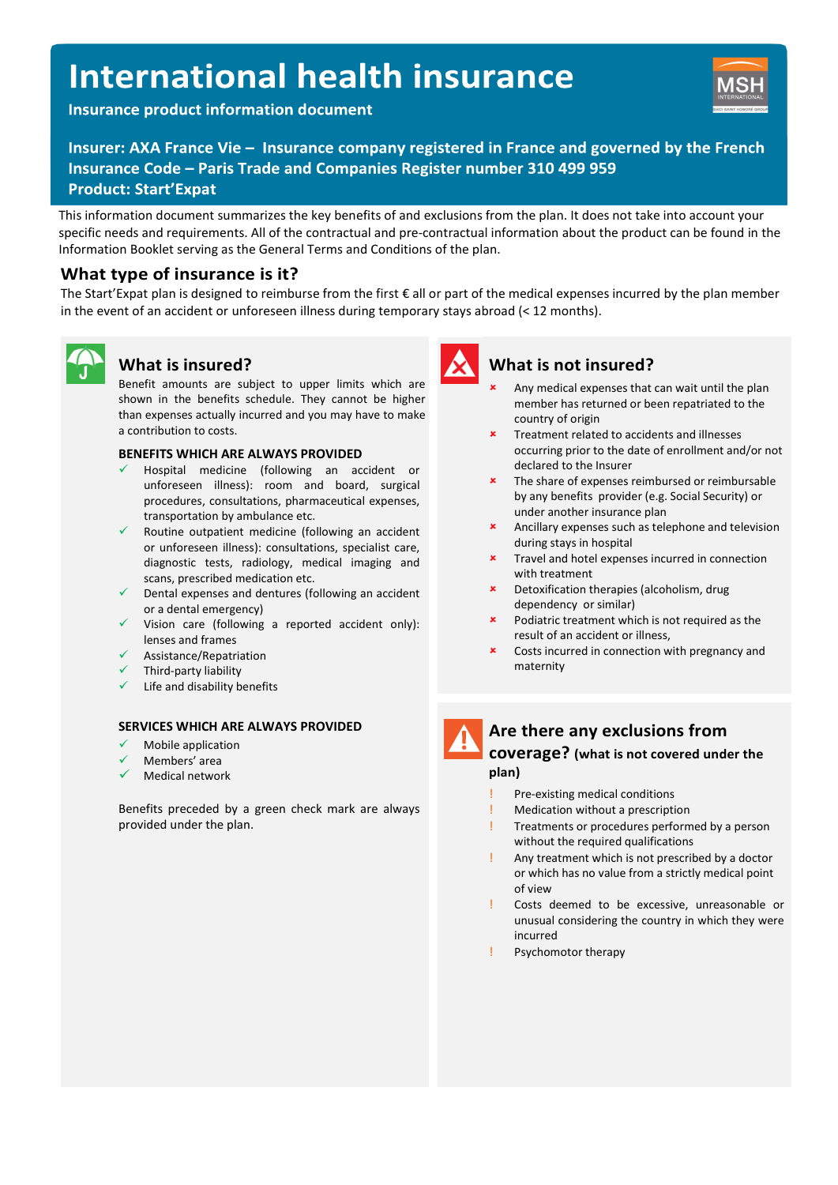# **International health insurance**

**Insurance product information document** 



Insurer: AXA France Vie - Insurance company registered in France and governed by the French Insurance Code - Paris Trade and Companies Register number 310 499 959 **Product: Start'Expat** 

This information document summarizes the key benefits of and exclusions from the plan. It does not take into account your specific needs and requirements. All of the contractual and pre-contractual information about the product can be found in the Information Booklet serving as the General Terms and Conditions of the plan.

# What type of insurance is it?

The Start'Expat plan is designed to reimburse from the first € all or part of the medical expenses incurred by the plan member in the event of an accident or unforeseen illness during temporary stays abroad (< 12 months).



# What is insured?

Benefit amounts are subject to upper limits which are shown in the benefits schedule. They cannot be higher than expenses actually incurred and you may have to make a contribution to costs.

#### BENEFITS WHICH ARE ALWAYS PROVIDED

- Hospital medicine (following an accident or unforeseen illness): room and board, surgical procedures, consultations, pharmaceutical expenses, transportation by ambulance etc.
- Routine outpatient medicine (following an accident or unforeseen illness): consultations, specialist care, diagnostic tests, radiology, medical imaging and scans, prescribed medication etc.
- Dental expenses and dentures (following an accident or a dental emergency)
- Vision care (following a reported accident only): lenses and frames
- Assistance/Repatriation
- Third-party liability
- Life and disability benefits

#### SERVICES WHICH ARE ALWAYS PROVIDED

- Mobile application
- Members' area
- Medical network

Benefits preceded by a green check mark are always provided under the plan.



## What is not insured?

- Any medical expenses that can wait until the plan member has returned or been repatriated to the country of origin
- Treatment related to accidents and illnesses occurring prior to the date of enrollment and/or not declared to the Insurer
- The share of expenses reimbursed or reimbursable by any benefits provider (e.g. Social Security) or under another insurance plan
- Ancillary expenses such as telephone and television during stays in hospital
- Travel and hotel expenses incurred in connection with treatment
- Detoxification therapies (alcoholism, drug dependency or similar)
- Podiatric treatment which is not required as the result of an accident or illness,
- Costs incurred in connection with pregnancy and maternity

# Are there any exclusions from

#### coverage? (what is not covered under the plan)

- Pre-existing medical conditions
- ! Medication without a prescription
- Treatments or procedures performed by a person without the required qualifications
- Any treatment which is not prescribed by a doctor or which has no value from a strictly medical point of view
- Costs deemed to be excessive, unreasonable or unusual considering the country in which they were incurred
- Psychomotor therapy